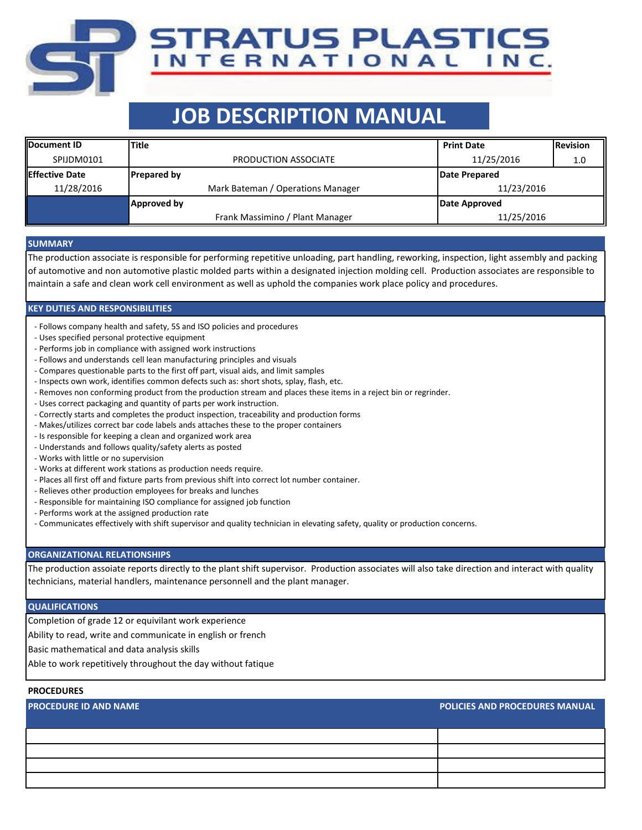# **JOB DESCRIPTION MANUAL**

TRATUS PLASTICS

NTERNATIONAL INC.

| <b>IDocument ID</b>    | <b>Title</b>                      | <b>Print Date</b> | <b>Revision</b> |  |
|------------------------|-----------------------------------|-------------------|-----------------|--|
| SPIJDM0101             | PRODUCTION ASSOCIATE              | 11/25/2016        | 1.0             |  |
| <b>IEffective Date</b> | <b>Prepared by</b>                | Date Prepared     |                 |  |
| 11/28/2016             | Mark Bateman / Operations Manager | 11/23/2016        |                 |  |
|                        | Approved by                       | Date Approved     |                 |  |
|                        | Frank Massimino / Plant Manager   | 11/25/2016        |                 |  |

#### **SUMMARY**

The production associate is responsible for performing repetitive unloading, part handling, reworking, inspection, light assembly and packing of automotive and non automotive plastic molded parts within a designated injection molding cell. Production associates are responsible to maintain a safe and clean work cell environment as well as uphold the companies work place policy and procedures.

#### **KEY DUTIES AND RESPONSIBILITIES**

- Follows company health and safety, 5S and ISO policies and procedures
- Uses specified personal protective equipment
- Performs job in compliance with assigned work instructions
- Follows and understands cell lean manufacturing principles and visuals
- Compares questionable parts to the first off part, visual aids, and limit samples
- Inspects own work, identifies common defects such as: short shots, splay, flash, etc.
- Removes non conforming product from the production stream and places these items in a reject bin or regrinder.
- Uses correct packaging and quantity of parts per work instruction.
- Correctly starts and completes the product inspection, traceability and production forms
- Makes/utilizes correct bar code labels ands attaches these to the proper containers
- Is responsible for keeping a clean and organized work area
- Understands and follows quality/safety alerts as posted
- Works with little or no supervision
- Works at different work stations as production needs require.
- Places all first off and fixture parts from previous shift into correct lot number container.
- Relieves other production employees for breaks and lunches
- Responsible for maintaining ISO compliance for assigned job function
- Performs work at the assigned production rate
- Communicates effectively with shift supervisor and quality technician in elevating safety, quality or production concerns.

#### **ORGANIZATIONAL RELATIONSHIPS**

The production assoiate reports directly to the plant shift supervisor. Production associates will also take direction and interact with quality technicians, material handlers, maintenance personnell and the plant manager.

#### **QUALIFICATIONS**

Completion of grade 12 or equivilant work experience

Ability to read, write and communicate in english or french

Basic mathematical and data analysis skills

Able to work repetitively throughout the day without fatique

#### **PROCEDURES**

| <b>PROCEDURE ID AND NAME</b> | <b>POLICIES AND PROCEDURES MANUAL</b> |
|------------------------------|---------------------------------------|
|                              |                                       |
|                              |                                       |
|                              |                                       |
|                              |                                       |